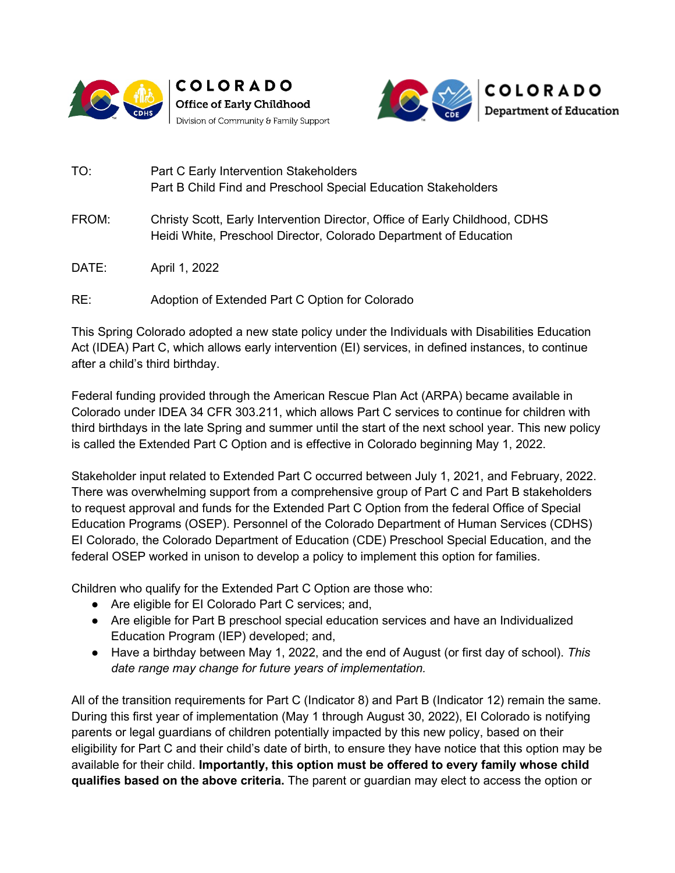





- TO: Part C Early Intervention Stakeholders Part B Child Find and Preschool Special Education Stakeholders
- FROM: Christy Scott, Early Intervention Director, Office of Early Childhood, CDHS Heidi White, Preschool Director, Colorado Department of Education
- DATE: April 1, 2022

RE: Adoption of Extended Part C Option for Colorado

This Spring Colorado adopted a new state policy under the Individuals with Disabilities Education Act (IDEA) Part C, which allows early intervention (EI) services, in defined instances, to continue after a child's third birthday.

Federal funding provided through the American Rescue Plan Act (ARPA) became available in Colorado under IDEA 34 CFR 303.211, which allows Part C services to continue for children with third birthdays in the late Spring and summer until the start of the next school year. This new policy is called the Extended Part C Option and is effective in Colorado beginning May 1, 2022.

Stakeholder input related to Extended Part C occurred between July 1, 2021, and February, 2022. There was overwhelming support from a comprehensive group of Part C and Part B stakeholders to request approval and funds for the Extended Part C Option from the federal Office of Special Education Programs (OSEP). Personnel of the Colorado Department of Human Services (CDHS) EI Colorado, the Colorado Department of Education (CDE) Preschool Special Education, and the federal OSEP worked in unison to develop a policy to implement this option for families.

Children who qualify for the Extended Part C Option are those who:

- Are eligible for EI Colorado Part C services; and,
- Are eligible for Part B preschool special education services and have an Individualized Education Program (IEP) developed; and,
- Have a birthday between May 1, 2022, and the end of August (or first day of school). *This date range may change for future years of implementation.*

All of the transition requirements for Part C (Indicator 8) and Part B (Indicator 12) remain the same. During this first year of implementation (May 1 through August 30, 2022), EI Colorado is notifying parents or legal guardians of children potentially impacted by this new policy, based on their eligibility for Part C and their child's date of birth, to ensure they have notice that this option may be available for their child. **Importantly, this option must be offered to every family whose child qualifies based on the above criteria.** The parent or guardian may elect to access the option or